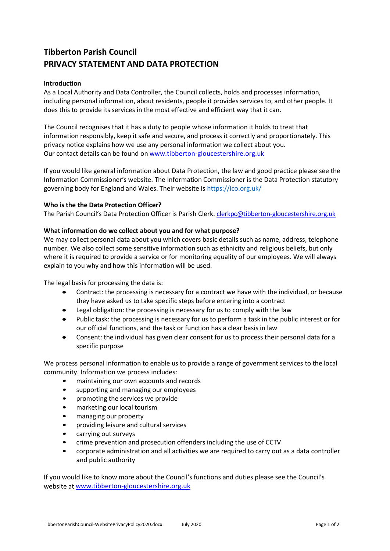# **Tibberton Parish Council PRIVACY STATEMENT AND DATA PROTECTION**

## **Introduction**

As a Local Authority and Data Controller, the Council collects, holds and processes information, including personal information, about residents, people it provides services to, and other people. It does this to provide its services in the most effective and efficient way that it can.

The Council recognises that it has a duty to people whose information it holds to treat that information responsibly, keep it safe and secure, and process it correctly and proportionately. This privacy notice explains how we use any personal information we collect about you. Our contact details can be found on [www.tibberton-gloucestershire.org.uk](http://www.tibberton-gloucestershire.org.uk/)

If you would like general information about Data Protection, the law and good practice please see the Information Commissioner's website. The Information Commissioner is the Data Protection statutory governing body for England and Wales. Their website is https://ico.org.uk/

# **Who is the the Data Protection Officer?**

The Parish Council's Data Protection Officer is Parish Clerk. [clerkpc@tibberton-gloucestershire.org.uk](mailto:clerkpc@tibberton-gloucestershire.org.uk)

# **What information do we collect about you and for what purpose?**

We may collect personal data about you which covers basic details such as name, address, telephone number. We also collect some sensitive information such as ethnicity and religious beliefs, but only where it is required to provide a service or for monitoring equality of our employees. We will always explain to you why and how this information will be used.

The legal basis for processing the data is:

- Contract: the processing is necessary for a contract we have with the individual, or because they have asked us to take specific steps before entering into a contract
- Legal obligation: the processing is necessary for us to comply with the law
- Public task: the processing is necessary for us to perform a task in the public interest or for our official functions, and the task or function has a clear basis in law
- Consent: the individual has given clear consent for us to process their personal data for a specific purpose

We process personal information to enable us to provide a range of government services to the local community. Information we process includes:

- maintaining our own accounts and records
- supporting and managing our employees
- promoting the services we provide
- marketing our local tourism
- managing our property
- providing leisure and cultural services
- carrying out surveys
- crime prevention and prosecution offenders including the use of CCTV
- corporate administration and all activities we are required to carry out as a data controller and public authority

If you would like to know more about the Council's functions and duties please see the Council's website at [www.tibberton-gloucestershire.org.uk](http://www.tibberton-gloucestershire.org.uk/)